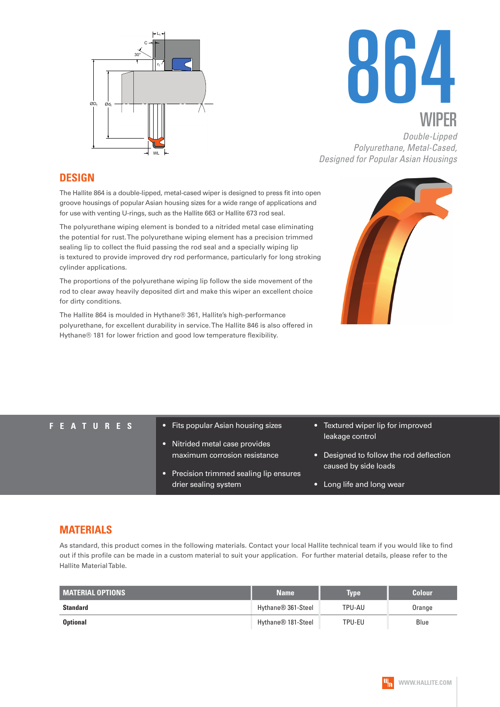



*Double-Lipped Polyurethane, Metal-Cased, Designed for Popular Asian Housings*

#### **DESIGN**

The Hallite 864 is a double-lipped, metal-cased wiper is designed to press fit into open groove housings of popular Asian housing sizes for a wide range of applications and for use with venting U-rings, such as the Hallite 663 or Hallite 673 rod seal.

The polyurethane wiping element is bonded to a nitrided metal case eliminating the potential for rust. The polyurethane wiping element has a precision trimmed sealing lip to collect the fluid passing the rod seal and a specially wiping lip is textured to provide improved dry rod performance, particularly for long stroking cylinder applications.

The proportions of the polyurethane wiping lip follow the side movement of the rod to clear away heavily deposited dirt and make this wiper an excellent choice for dirty conditions.

The Hallite 864 is moulded in Hythane® 361, Hallite's high-performance polyurethane, for excellent durability in service. The Hallite 846 is also offered in Hythane® 181 for lower friction and good low temperature flexibility.



- **F E A T U R E S** Fits popular Asian housing sizes
	- Nitrided metal case provides maximum corrosion resistance
	- Precision trimmed sealing lip ensures drier sealing system
- Textured wiper lip for improved leakage control
- Designed to follow the rod deflection caused by side loads
- Long life and long wear

#### **MATERIALS**

As standard, this product comes in the following materials. Contact your local Hallite technical team if you would like to find out if this profile can be made in a custom material to suit your application. For further material details, please refer to the Hallite Material Table.

| <b>MATERIAL OPTIONS</b> | <b>Name</b>                    | <b>Type</b> | <b>Colour</b> |
|-------------------------|--------------------------------|-------------|---------------|
| <b>Standard</b>         | Hythane® 361-Steel             | TPU-AU      | Orange        |
| <b>Optional</b>         | Hythane <sup>®</sup> 181-Steel | TPU-EU      | Blue          |

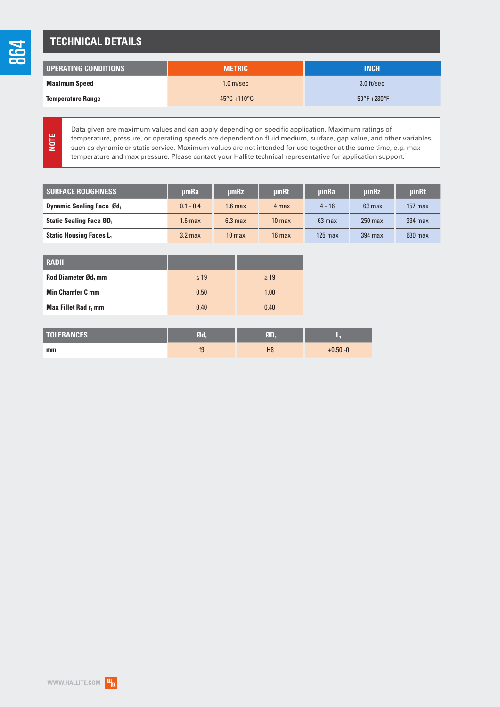### **TECHNICAL DETAILS**

| <b>OPERATING CONDITIONS</b> | <b>METRIC</b>                     | <b>INCH</b>                      |
|-----------------------------|-----------------------------------|----------------------------------|
| <b>Maximum Speed</b>        | 1.0 <sub>m/sec</sub>              | $3.0$ ft/sec                     |
| <b>Temperature Range</b>    | $-45^{\circ}$ C +110 $^{\circ}$ C | $-50^{\circ}$ F $+230^{\circ}$ F |

**NOTE**

864

Data given are maximum values and can apply depending on specific application. Maximum ratings of temperature, pressure, or operating speeds are dependent on fluid medium, surface, gap value, and other variables such as dynamic or static service. Maximum values are not intended for use together at the same time, e.g. max temperature and max pressure. Please contact your Hallite technical representative for application support.

| <b>SURFACE ROUGHNESS</b>         | umRa               | umRz               | <b>umRt</b>       | <b>uinRa</b>         | <b>uinRz</b> | <b>uinRt</b> |
|----------------------------------|--------------------|--------------------|-------------------|----------------------|--------------|--------------|
| <b>Dynamic Sealing Face Ød</b> , | $0.1 - 0.4$        | 1.6 max            | 4 max             | $4 - 16$             | $63$ max     | $157$ max    |
| <b>Static Sealing Face ØD</b> ,  | 1.6 <sub>max</sub> | 6.3 <sub>max</sub> | 10 <sub>max</sub> | $63$ max             | $250$ max    | $394$ max    |
| <b>Static Housing Faces L1</b>   | 3.2 <sub>max</sub> | 10 <sub>max</sub>  | $16$ max          | $125 \,\mathrm{max}$ | 394 max      | $630$ max    |

| <b>RADII</b>                     |           |           |
|----------------------------------|-----------|-----------|
| Rod Diameter Ød, mm              | $\leq 19$ | $\geq$ 19 |
| <b>Min Chamfer C mm</b>          | 0.50      | 1.00      |
| Max Fillet Rad r <sub>1</sub> mm | 0.40      | 0.40      |

| <b>TOLERANCES</b> | Ød | $F_{\rm{B}}$   |             |
|-------------------|----|----------------|-------------|
| mm                | f9 | H <sub>8</sub> | $+0.50 - 0$ |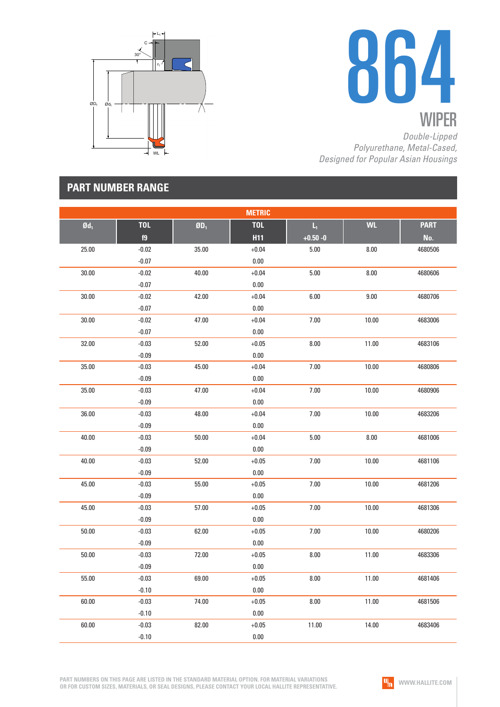



*Double-Lipped Polyurethane, Metal-Cased, Designed for Popular Asian Housings*

## **PART NUMBER RANGE**

|                   |            |                          | <b>METRIC</b> |                         |           |             |
|-------------------|------------|--------------------------|---------------|-------------------------|-----------|-------------|
| $\mathfrak{gd}_1$ | <b>TOL</b> | $\mathbf{0}\mathbf{D}_1$ | <b>TOL</b>    | $\mathsf{L}_\mathrm{t}$ | <b>WL</b> | <b>PART</b> |
|                   | f9         |                          | <b>H11</b>    | $+0.50 - 0$             |           | No.         |
| 25.00             | $-0.02$    | 35.00                    | $+0.04$       | 5.00                    | 8.00      | 4680506     |
|                   | $-0.07$    |                          | $0.00\,$      |                         |           |             |
| 30.00             | $-0.02$    | 40.00                    | $+0.04$       | $5.00$                  | 8.00      | 4680606     |
|                   | $-0.07$    |                          | $0.00\,$      |                         |           |             |
| 30.00             | $-0.02$    | 42.00                    | $+0.04$       | 6.00                    | 9.00      | 4680706     |
|                   | $-0.07$    |                          | $0.00\,$      |                         |           |             |
| 30.00             | $-0.02$    | 47.00                    | $+0.04$       | 7.00                    | 10.00     | 4683006     |
|                   | $-0.07$    |                          | $0.00\,$      |                         |           |             |
| 32.00             | $-0.03$    | 52.00                    | $+0.05$       | 8.00                    | 11.00     | 4683106     |
|                   | $-0.09$    |                          | $0.00\,$      |                         |           |             |
| 35.00             | $-0.03$    | 45.00                    | $+0.04$       | 7.00                    | 10.00     | 4680806     |
|                   | $-0.09$    |                          | $0.00\,$      |                         |           |             |
| 35.00             | $-0.03$    | 47.00                    | $+0.04$       | 7.00                    | 10.00     | 4680906     |
|                   | $-0.09$    |                          | 0.00          |                         |           |             |
| 36.00             | $-0.03$    | 48.00                    | $+0.04$       | 7.00                    | 10.00     | 4683206     |
|                   | $-0.09$    |                          | $0.00\,$      |                         |           |             |
| 40.00             | $-0.03$    | 50.00                    | $+0.04$       | $5.00$                  | 8.00      | 4681006     |
|                   | $-0.09$    |                          | 0.00          |                         |           |             |
| 40.00             | $-0.03$    | 52.00                    | $+0.05$       | 7.00                    | 10.00     | 4681106     |
|                   | $-0.09$    |                          | $0.00\,$      |                         |           |             |
| 45.00             | $-0.03$    | 55.00                    | $+0.05$       | 7.00                    | 10.00     | 4681206     |
|                   | $-0.09$    |                          | $0.00\,$      |                         |           |             |
| 45.00             | $-0.03$    | 57.00                    | $+0.05$       | 7.00                    | 10.00     | 4681306     |
|                   | $-0.09$    |                          | 0.00          |                         |           |             |
| 50.00             | $-0.03$    | 62.00                    | $+0.05$       | 7.00                    | 10.00     | 4680206     |
|                   | $-0.09$    |                          | $0.00\,$      |                         |           |             |
| 50.00             | $-0.03$    | 72.00                    | $+0.05$       | 8.00                    | 11.00     | 4683306     |
|                   | $-0.09$    |                          | 0.00          |                         |           |             |
| 55.00             | $-0.03$    | 69.00                    | $+0.05$       | 8.00                    | 11.00     | 4681406     |
|                   | $-0.10$    |                          | $0.00\,$      |                         |           |             |
| 60.00             | $-0.03$    | 74.00                    | $+0.05$       | 8.00                    | 11.00     | 4681506     |
|                   | $-0.10$    |                          | $0.00\,$      |                         |           |             |
| 60.00             | $-0.03$    | 82.00                    | $+0.05$       | 11.00                   | 14.00     | 4683406     |
|                   | $-0.10$    |                          | $0.00\,$      |                         |           |             |

**PART NUMBERS ON THIS PAGE ARE LISTED IN THE STANDARD MATERIAL OPTION. FOR MATERIAL VARIATIONS OR FOR CUSTOM SIZES, MATERIALS, OR SEAL DESIGNS, PLEASE CONTACT YOUR LOCAL HALLITE REPRESENTATIVE.**

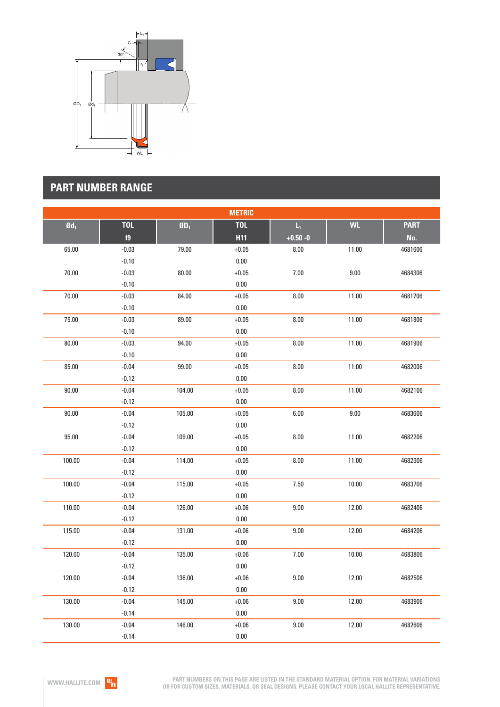

# **PART NUMBER RANGE**

|                   |            |                             | <b>METRIC</b> |                         |           |             |
|-------------------|------------|-----------------------------|---------------|-------------------------|-----------|-------------|
| $\mathfrak{gd}_1$ | <b>TOL</b> | $\mathbf{g}_{\mathbf{D}_1}$ | <b>TOL</b>    | $\mathsf{L}_\mathsf{I}$ | <b>WL</b> | <b>PART</b> |
|                   | f9         |                             | <b>H11</b>    | $+0.50 - 0$             |           | No.         |
| 65.00             | $-0.03$    | 79.00                       | $+0.05$       | 8.00                    | 11.00     | 4681606     |
|                   | $-0.10$    |                             | $0.00\,$      |                         |           |             |
| 70.00             | $-0.03$    | 80.00                       | $+0.05$       | 7.00                    | 9.00      | 4684306     |
|                   | $-0.10$    |                             | $0.00\,$      |                         |           |             |
| 70.00             | $-0.03$    | 84.00                       | $+0.05$       | 8.00                    | 11.00     | 4681706     |
|                   | $-0.10$    |                             | $0.00\,$      |                         |           |             |
| 75.00             | $-0.03$    | 89.00                       | $+0.05$       | 8.00                    | 11.00     | 4681806     |
|                   | $-0.10$    |                             | $0.00\,$      |                         |           |             |
| 80.00             | $-0.03$    | 94.00                       | $+0.05$       | 8.00                    | 11.00     | 4681906     |
|                   | $-0.10$    |                             | $0.00\,$      |                         |           |             |
| 85.00             | $-0.04$    | 99.00                       | $+0.05$       | 8.00                    | 11.00     | 4682006     |
|                   | $-0.12$    |                             | 0.00          |                         |           |             |
| 90.00             | $-0.04$    | 104.00                      | $+0.05$       | 8.00                    | 11.00     | 4682106     |
|                   | $-0.12$    |                             | 0.00          |                         |           |             |
| 90.00             | $-0.04$    | 105.00                      | $+0.05$       | 6.00                    | 9.00      | 4683606     |
|                   | $-0.12$    |                             | $0.00\,$      |                         |           |             |
| 95.00             | $-0.04$    | 109.00                      | $+0.05$       | 8.00                    | 11.00     | 4682206     |
|                   | $-0.12$    |                             | $0.00\,$      |                         |           |             |
| 100.00            | $-0.04$    | 114.00                      | $+0.05$       | 8.00                    | 11.00     | 4682306     |
|                   | $-0.12$    |                             | $0.00\,$      |                         |           |             |
| 100.00            | $-0.04$    | 115.00                      | $+0.05$       | 7.50                    | 10.00     | 4683706     |
|                   | $-0.12$    |                             | $0.00\,$      |                         |           |             |
| 110.00            | $-0.04$    | 126.00                      | $+0.06$       | 9.00                    | 12.00     | 4682406     |
|                   | $-0.12$    |                             | $0.00\,$      |                         |           |             |
| 115.00            | $-0.04$    | 131.00                      | $+0.06$       | 9.00                    | 12.00     | 4684206     |
|                   | $-0.12$    |                             | $0.00\,$      |                         |           |             |
| 120.00            | $-0.04$    | 135.00                      | $+0.06$       | 7.00                    | 10.00     | 4683806     |
|                   | $-0.12$    |                             | $0.00\,$      |                         |           |             |
| 120.00            | $-0.04$    | 136.00                      | $+0.06$       | 9.00                    | 12.00     | 4682506     |
|                   | $-0.12$    |                             | $0.00\,$      |                         |           |             |
| 130.00            | $-0.04$    | 145.00                      | $+0.06$       | 9.00                    | 12.00     | 4683906     |
|                   | $-0.14$    |                             | $0.00\,$      |                         |           |             |
| 130.00            | $-0.04$    | 146.00                      | $+0.06$       | 9.00                    | 12.00     | 4682606     |
|                   | $-0.14$    |                             | 0.00          |                         |           |             |